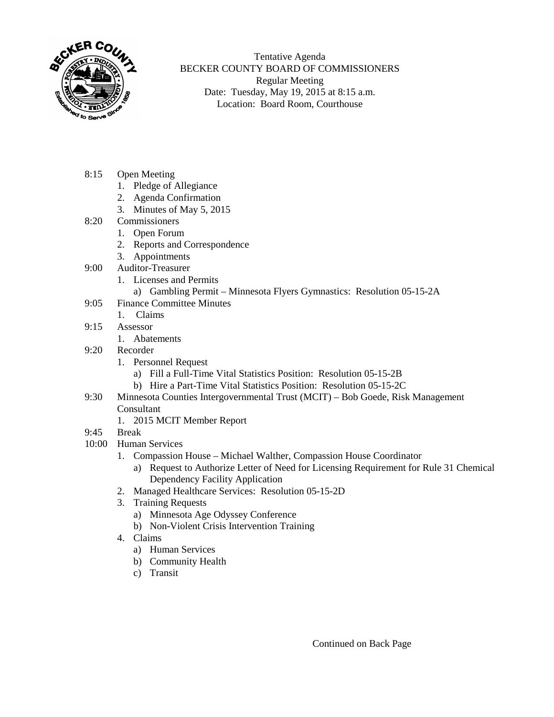

Tentative Agenda BECKER COUNTY BOARD OF COMMISSIONERS Regular Meeting Date: Tuesday, May 19, 2015 at 8:15 a.m. Location: Board Room, Courthouse

- 8:15 Open Meeting
	- 1. Pledge of Allegiance
	- 2. Agenda Confirmation
	- 3. Minutes of May 5, 2015
- 8:20 Commissioners
	- 1. Open Forum
		- 2. Reports and Correspondence
	- 3. Appointments
- 9:00 Auditor-Treasurer
	- 1. Licenses and Permits
		- a) Gambling Permit Minnesota Flyers Gymnastics: Resolution 05-15-2A
- 9:05 Finance Committee Minutes
	- 1. Claims
- 9:15 Assessor
	- 1. Abatements
- 9:20 Recorder
	- 1. Personnel Request
		- a) Fill a Full-Time Vital Statistics Position: Resolution 05-15-2B
		- b) Hire a Part-Time Vital Statistics Position: Resolution 05-15-2C
- 9:30 Minnesota Counties Intergovernmental Trust (MCIT) Bob Goede, Risk Management Consultant
	- 1. 2015 MCIT Member Report
- 9:45 Break
- 10:00 Human Services
	- 1. Compassion House Michael Walther, Compassion House Coordinator
		- a) Request to Authorize Letter of Need for Licensing Requirement for Rule 31 Chemical Dependency Facility Application
	- 2. Managed Healthcare Services: Resolution 05-15-2D
	- 3. Training Requests
		- a) Minnesota Age Odyssey Conference
		- b) Non-Violent Crisis Intervention Training
	- 4. Claims
		- a) Human Services
		- b) Community Health
		- c) Transit

Continued on Back Page